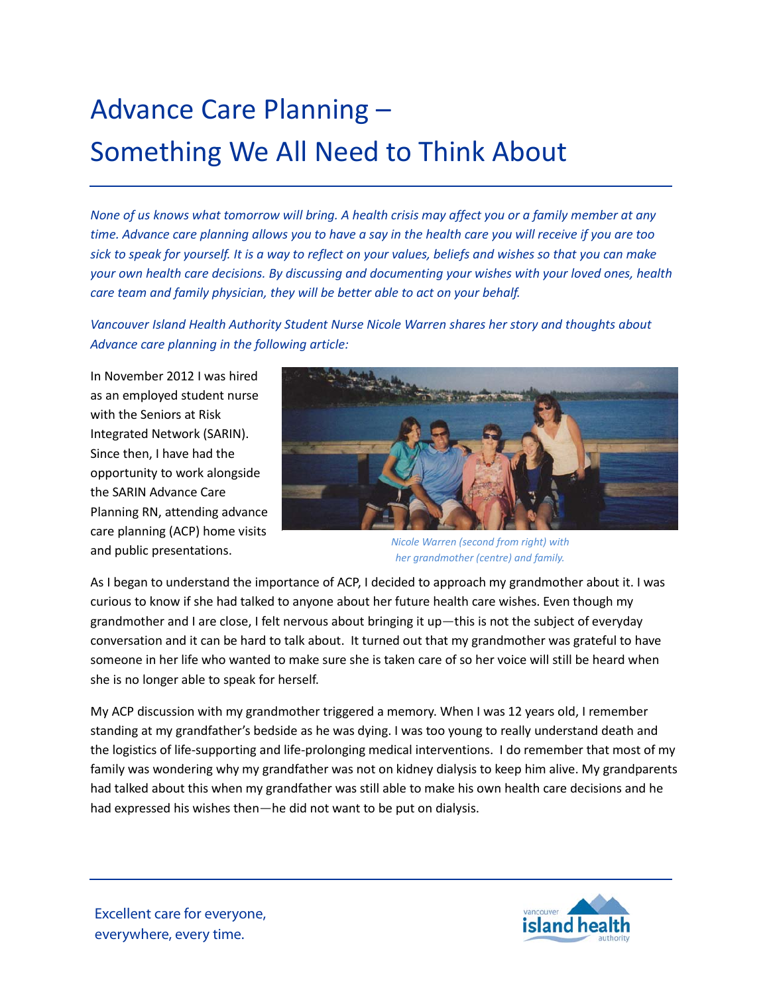## Advance Care Planning – Something We All Need to Think About

*None of us knows what tomorrow will bring. A health crisis may affect you or a family member at any time. Advance care planning allows you to have a say in the health care you will receive if you are too sick to speak for yourself. It is a way to reflect on your values, beliefs and wishes so that you can make your own health care decisions. By discussing and documenting your wishes with your loved ones, health care team and family physician, they will be better able to act on your behalf.*

*Vancouver Island Health Authority Student Nurse Nicole Warren shares her story and thoughts about Advance care planning in the following article:*

In November 2012 I was hired as an employed student nurse with the Seniors at Risk Integrated Network (SARIN). Since then, I have had the opportunity to work alongside the SARIN Advance Care Planning RN, attending advance care planning (ACP) home visits and public presentations.



*Nicole Warren (second from right) with her grandmother (centre) and family.*

As I began to understand the importance of ACP, I decided to approach my grandmother about it. I was curious to know if she had talked to anyone about her future health care wishes. Even though my grandmother and I are close, I felt nervous about bringing it up—this is not the subject of everyday conversation and it can be hard to talk about. It turned out that my grandmother was grateful to have someone in her life who wanted to make sure she is taken care of so her voice will still be heard when she is no longer able to speak for herself.

My ACP discussion with my grandmother triggered a memory. When I was 12 years old, I remember standing at my grandfather's bedside as he was dying. I was too young to really understand death and the logistics of life-supporting and life-prolonging medical interventions. I do remember that most of my family was wondering why my grandfather was not on kidney dialysis to keep him alive. My grandparents had talked about this when my grandfather was still able to make his own health care decisions and he had expressed his wishes then—he did not want to be put on dialysis.